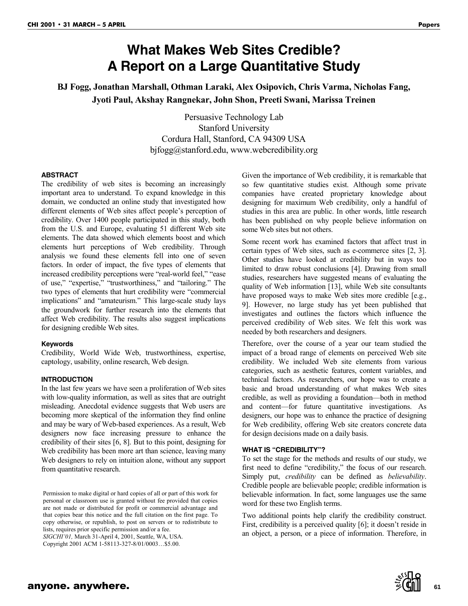# **What Makes Web Sites Credible? A Report on a Large Quantitative Study**

**BJ Fogg, Jonathan Marshall, Othman Laraki, Alex Osipovich, Chris Varma, Nicholas Fang, Jyoti Paul, Akshay Rangnekar, John Shon, Preeti Swani, Marissa Treinen**

> Persuasive Technology Lab Stanford University Cordura Hall, Stanford, CA 94309 USA bjfogg@stanford.edu, www.webcredibility.org

#### **ABSTRACT**

The credibility of web sites is becoming an increasingly important area to understand. To expand knowledge in this domain, we conducted an online study that investigated how different elements of Web sites affect people's perception of credibility. Over 1400 people participated in this study, both from the U.S. and Europe, evaluating 51 different Web site elements. The data showed which elements boost and which elements hurt perceptions of Web credibility. Through analysis we found these elements fell into one of seven factors. In order of impact, the five types of elements that increased credibility perceptions were "real-world feel," "ease of use," "expertise," "trustworthiness," and "tailoring." The two types of elements that hurt credibility were "commercial implications" and "amateurism." This large-scale study lays the groundwork for further research into the elements that affect Web credibility. The results also suggest implications for designing credible Web sites.

## **Keywords**

Credibility, World Wide Web, trustworthiness, expertise, captology, usability, online research, Web design.

# **INTRODUCTION**

In the last few years we have seen a proliferation of Web sites with low-quality information, as well as sites that are outright misleading. Anecdotal evidence suggests that Web users are becoming more skeptical of the information they find online and may be wary of Web-based experiences. As a result, Web designers now face increasing pressure to enhance the credibility of their sites [6, 8]. But to this point, designing for Web credibility has been more art than science, leaving many Web designers to rely on intuition alone, without any support from quantitative research.

Permission to make digital or hard copies of all or part of this work for personal or classroom use is granted without fee provided that copies are not made or distributed for profit or commercial advantage and that copies bear this notice and the full citation on the first page. To copy otherwise, or republish, to post on servers or to redistribute to lists, requires prior specific permission and/or a fee.

*SIGCHI'01,* March 31-April 4, 2001, Seattle, WA, USA.

Copyright 2001 ACM 1-58113-327-8/01/0003…\$5.00.

Given the importance of Web credibility, it is remarkable that so few quantitative studies exist. Although some private companies have created proprietary knowledge about designing for maximum Web credibility, only a handful of studies in this area are public. In other words, little research has been published on why people believe information on some Web sites but not others.

Some recent work has examined factors that affect trust in certain types of Web sites, such as e-commerce sites [2, 3]. Other studies have looked at credibility but in ways too limited to draw robust conclusions [4]. Drawing from small studies, researchers have suggested means of evaluating the quality of Web information [13], while Web site consultants have proposed ways to make Web sites more credible [e.g., 9]. However, no large study has yet been published that investigates and outlines the factors which influence the perceived credibility of Web sites. We felt this work was needed by both researchers and designers.

Therefore, over the course of a year our team studied the impact of a broad range of elements on perceived Web site credibility. We included Web site elements from various categories, such as aesthetic features, content variables, and technical factors. As researchers, our hope was to create a basic and broad understanding of what makes Web sites credible, as well as providing a foundation—both in method and content—for future quantitative investigations. As designers, our hope was to enhance the practice of designing for Web credibility, offering Web site creators concrete data for design decisions made on a daily basis.

## **WHAT IS "CREDIBILITY"?**

To set the stage for the methods and results of our study, we first need to define "credibility," the focus of our research. Simply put, *credibility* can be defined as *believability*. Credible people are believable people; credible information is believable information. In fact, some languages use the same word for these two English terms.

Two additional points help clarify the credibility construct. First, credibility is a perceived quality [6]; it doesn't reside in an object, a person, or a piece of information. Therefore, in

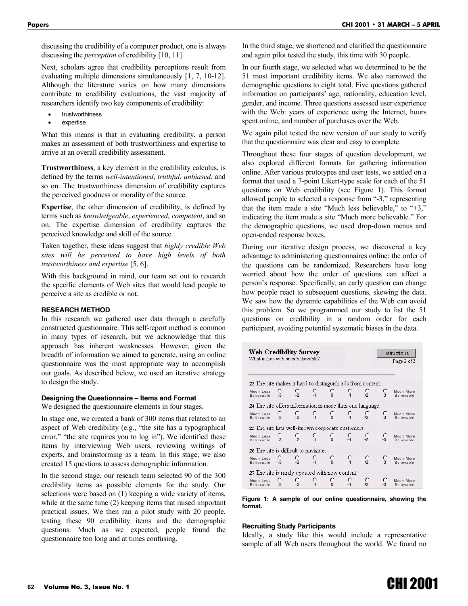discussing the credibility of a computer product, one is always discussing the *perception* of credibility [10, 11].

Next, scholars agree that credibility perceptions result from evaluating multiple dimensions simultaneously [1, 7, 10-12]. Although the literature varies on how many dimensions contribute to credibility evaluations, the vast majority of researchers identify two key components of credibility:

- trustworthiness
- expertise

What this means is that in evaluating credibility, a person makes an assessment of both trustworthiness and expertise to arrive at an overall credibility assessment.

**Trustworthiness**, a key element in the credibility calculus, is defined by the terms *well-intentioned*, *truthful*, *unbiased*, and so on. The trustworthiness dimension of credibility captures the perceived goodness or morality of the source.

**Expertise**, the other dimension of credibility, is defined by terms such as *knowledgeable*, *experienced*, *competent*, and so on. The expertise dimension of credibility captures the perceived knowledge and skill of the source.

Taken together, these ideas suggest that *highly credible Web sites will be perceived to have high levels of both trustworthiness and expertise* [5, 6].

With this background in mind, our team set out to research the specific elements of Web sites that would lead people to perceive a site as credible or not.

#### **RESEARCH METHOD**

In this research we gathered user data through a carefully constructed questionnaire. This self-report method is common in many types of research, but we acknowledge that this approach has inherent weaknesses. However, given the breadth of information we aimed to generate, using an online questionnaire was the most appropriate way to accomplish our goals. As described below, we used an iterative strategy to design the study.

## **Designing the Questionnaire – Items and Format**

We designed the questionnaire elements in four stages.

In stage one, we created a bank of 300 items that related to an aspect of Web credibility (e.g., "the site has a typographical error," "the site requires you to log in"). We identified these items by interviewing Web users, reviewing writings of experts, and brainstorming as a team. In this stage, we also created 15 questions to assess demographic information.

In the second stage, our reseach team selected 90 of the 300 credibility items as possible elements for the study. Our selections were based on (1) keeping a wide variety of items, while at the same time (2) keeping items that raised important practical issues. We then ran a pilot study with 20 people, testing these 90 credibility items and the demographic questions. Much as we expected, people found the questionnaire too long and at times confusing.

In the third stage, we shortened and clarified the questionnaire and again pilot tested the study, this time with 30 people.

In our fourth stage, we selected what we determined to be the 51 most important credibility items. We also narrowed the demographic questions to eight total. Five questions gathered information on participants' age, nationality, education level, gender, and income. Three questions assessed user experience with the Web: years of experience using the Internet, hours spent online, and number of purchases over the Web.

We again pilot tested the new version of our study to verify that the questionnaire was clear and easy to complete.

Throughout these four stages of question development, we also explored different formats for gathering information online. After various prototypes and user tests, we settled on a format that used a 7-point Likert-type scale for each of the 51 questions on Web credibility (see Figure 1). This format allowed people to selected a response from "-3," representing that the item made a site "Much less believable," to "+3," indicating the item made a site "Much more believable." For the demographic questions, we used drop-down menus and open-ended response boxes.

During our iterative design process, we discovered a key advantage to administering questionnaires online: the order of the questions can be randomized. Researchers have long worried about how the order of questions can affect a person's response. Specifically, an early question can change how people react to subsequent questions, skewing the data. We saw how the dynamic capabilities of the Web can avoid this problem. So we programmed our study to list the 51 questions on credibility in a random order for each participant, avoiding potential systematic biases in the data.

| Web Credibility Survey                                     |               |               |          |               |                        |               |   | Instructions                   |
|------------------------------------------------------------|---------------|---------------|----------|---------------|------------------------|---------------|---|--------------------------------|
| What makes web sites believable?                           |               |               |          |               |                        |               |   | Page 2 of 3                    |
| 23 The site makes it hard to distinguish ads from content. |               |               |          |               |                        |               |   |                                |
| Much Less<br>Believable                                    | о             | $\frac{6}{2}$ | $\Omega$ | $\frac{1}{6}$ | $\Omega$               |               |   | Much More<br>Believable        |
| 24 The site offers information in more than one language.  |               |               |          |               |                        |               |   |                                |
| Much Less<br>Believable                                    | $\frac{0}{3}$ | S             | $\Omega$ | ှ္ဂ           | $\Omega$ <sub>11</sub> | Ş             | O | Much More<br>Believable        |
| 25 The site lists well-known corporate customers.          |               |               |          |               |                        |               |   |                                |
| Much Less<br>Believable                                    | $\frac{1}{3}$ | S             | $\Omega$ | င္ပ           | $\Omega$               | $\frac{1}{2}$ | O | Much More<br>Believable        |
| 26 The site is difficult to navigate.                      |               |               |          |               |                        |               |   |                                |
| Much Less<br>Believable                                    | $\frac{0}{3}$ | $\frac{0}{2}$ | $\Omega$ | င္ပ           | $\Omega$               | $\frac{1}{2}$ | O | Much More<br><b>Believable</b> |
| 27 The site is rarely updated with new content.            |               |               |          |               |                        |               |   |                                |
| Much Less<br>Believable                                    | о<br>$-3$     | $\frac{0}{2}$ | $\Omega$ | о             | о                      | O             |   | Much More<br>Believable        |

**Figure 1: A sample of our online questionnaire, showing the format.** 

#### **Recruiting Study Participants**

Ideally, a study like this would include a representative sample of all Web users throughout the world. We found no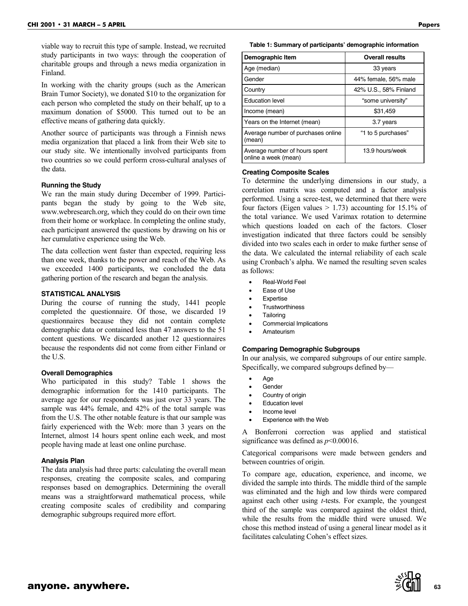viable way to recruit this type of sample. Instead, we recruited study participants in two ways: through the cooperation of charitable groups and through a news media organization in Finland.

In working with the charity groups (such as the American Brain Tumor Society), we donated \$10 to the organization for each person who completed the study on their behalf, up to a maximum donation of \$5000. This turned out to be an effective means of gathering data quickly.

Another source of participants was through a Finnish news media organization that placed a link from their Web site to our study site. We intentionally involved participants from two countries so we could perform cross-cultural analyses of the data.

## **Running the Study**

We ran the main study during December of 1999. Participants began the study by going to the Web site, www.webresearch.org, which they could do on their own time from their home or workplace. In completing the online study, each participant answered the questions by drawing on his or her cumulative experience using the Web.

The data collection went faster than expected, requiring less than one week, thanks to the power and reach of the Web. As we exceeded 1400 participants, we concluded the data gathering portion of the research and began the analysis.

## **STATISTICAL ANALYSIS**

During the course of running the study, 1441 people completed the questionnaire. Of those, we discarded 19 questionnaires because they did not contain complete demographic data or contained less than 47 answers to the 51 content questions. We discarded another 12 questionnaires because the respondents did not come from either Finland or the U.S.

#### **Overall Demographics**

Who participated in this study? Table 1 shows the demographic information for the 1410 participants. The average age for our respondents was just over 33 years. The sample was 44% female, and 42% of the total sample was from the U.S. The other notable feature is that our sample was fairly experienced with the Web: more than 3 years on the Internet, almost 14 hours spent online each week, and most people having made at least one online purchase.

#### **Analysis Plan**

The data analysis had three parts: calculating the overall mean responses, creating the composite scales, and comparing responses based on demographics. Determining the overall means was a straightforward mathematical process, while creating composite scales of credibility and comparing demographic subgroups required more effort.

**Table 1: Summary of participants' demographic information** 

| Demographic Item                                      | <b>Overall results</b> |
|-------------------------------------------------------|------------------------|
| Age (median)                                          | 33 years               |
| Gender                                                | 44% female, 56% male   |
| Country                                               | 42% U.S., 58% Finland  |
| <b>Education level</b>                                | "some university"      |
| Income (mean)                                         | \$31,459               |
| Years on the Internet (mean)                          | 3.7 years              |
| Average number of purchases online<br>(mean)          | "1 to 5 purchases"     |
| Average number of hours spent<br>online a week (mean) | 13.9 hours/week        |

## **Creating Composite Scales**

To determine the underlying dimensions in our study, a correlation matrix was computed and a factor analysis performed. Using a scree-test, we determined that there were four factors (Eigen values  $> 1.73$ ) accounting for 15.1% of the total variance. We used Varimax rotation to determine which questions loaded on each of the factors. Closer investigation indicated that three factors could be sensibly divided into two scales each in order to make further sense of the data. We calculated the internal reliability of each scale using Cronbach's alpha. We named the resulting seven scales as follows:

- Real-World Feel
- Ease of Use
- **Expertise**
- **Trustworthiness**
- **Tailoring**
- Commercial Implications
- Amateurism

### **Comparing Demographic Subgroups**

In our analysis, we compared subgroups of our entire sample. Specifically, we compared subgroups defined by—

- Age
- **Gender**
- Country of origin
- **Education level**
- Income level
- Experience with the Web

A Bonferroni correction was applied and statistical significance was defined as  $p<0.00016$ .

Categorical comparisons were made between genders and between countries of origin.

To compare age, education, experience, and income, we divided the sample into thirds. The middle third of the sample was eliminated and the high and low thirds were compared against each other using *t*-tests. For example, the youngest third of the sample was compared against the oldest third, while the results from the middle third were unused. We chose this method instead of using a general linear model as it facilitates calculating Cohen's effect sizes.

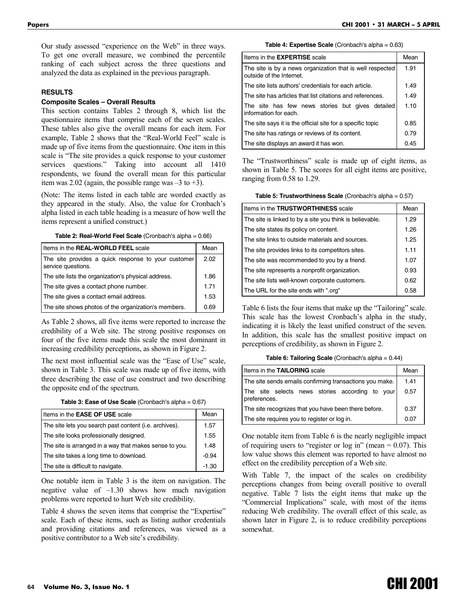Our study assessed "experience on the Web" in three ways. To get one overall measure, we combined the percentile ranking of each subject across the three questions and analyzed the data as explained in the previous paragraph.

## **RESULTS**

#### **Composite Scales – Overall Results**

This section contains Tables 2 through 8, which list the questionnaire items that comprise each of the seven scales. These tables also give the overall means for each item. For example, Table 2 shows that the "Real-World Feel" scale is made up of five items from the questionnaire. One item in this scale is "The site provides a quick response to your customer services questions." Taking into account all 1410 respondents, we found the overall mean for this particular item was 2.02 (again, the possible range was  $-3$  to  $+3$ ).

(Note: The items listed in each table are worded exactly as they appeared in the study. Also, the value for Cronbach's alpha listed in each table heading is a measure of how well the items represent a unified construct.)

#### **Table 2: Real-World Feel Scale** (Cronbach's alpha = 0.66)

| Items in the <b>REAL-WORLD FEEL</b> scale                                 | Mean |
|---------------------------------------------------------------------------|------|
| The site provides a quick response to your customer<br>service questions. | 2.02 |
| The site lists the organization's physical address.                       | 1.86 |
| The site gives a contact phone number.                                    | 1.71 |
| The site gives a contact email address.                                   | 1.53 |
| The site shows photos of the organization's members.                      | 0.69 |

As Table 2 shows, all five items were reported to increase the credibility of a Web site. The strong positive responses on four of the five items made this scale the most dominant in increasing credibility perceptions, as shown in Figure 2.

The next most influential scale was the "Ease of Use" scale, shown in Table 3. This scale was made up of five items, with three describing the ease of use construct and two describing the opposite end of the spectrum.

**Table 3: Ease of Use Scale** (Cronbach's alpha = 0.67)

| Items in the EASE OF USE scale                         | Mean    |
|--------------------------------------------------------|---------|
| The site lets you search past content (i.e. archives). | 1.57    |
| The site looks professionally designed.                | 1.55    |
| The site is arranged in a way that makes sense to you. | 1.48    |
| The site takes a long time to download.                | $-0.94$ |
| The site is difficult to navigate.                     | $-1.30$ |

One notable item in Table 3 is the item on navigation. The negative value of  $-1.30$  shows how much navigation problems were reported to hurt Web site credibility.

Table 4 shows the seven items that comprise the "Expertise" scale. Each of these items, such as listing author credentials and providing citations and references, was viewed as a positive contributor to a Web site's credibility.

**Table 4: Expertise Scale** (Cronbach's alpha = 0.63)

| I Items in the <b>EXPERTISE</b> scale                                                 |  |  |
|---------------------------------------------------------------------------------------|--|--|
| The site is by a news organization that is well respected<br>outside of the Internet. |  |  |
| The site lists authors' credentials for each article.                                 |  |  |
| The site has articles that list citations and references.                             |  |  |
| The site has few news stories but gives detailed<br>information for each.             |  |  |
| The site says it is the official site for a specific topic                            |  |  |
| The site has ratings or reviews of its content.                                       |  |  |
| The site displays an award it has won.                                                |  |  |

The "Trustworthiness" scale is made up of eight items, as shown in Table 5. The scores for all eight items are positive, ranging from 0.58 to 1.29.

**Table 5: Trustworthiness Scale** (Cronbach's alpha = 0.57)

| Items in the <b>TRUSTWORTHINESS</b> scale                | Mean |
|----------------------------------------------------------|------|
| The site is linked to by a site you think is believable. | 1.29 |
| The site states its policy on content.                   | 1.26 |
| The site links to outside materials and sources.         | 1.25 |
| The site provides links to its competitors sites.        | 1.11 |
| The site was recommended to you by a friend.             | 1.07 |
| The site represents a nonprofit organization.            | 0.93 |
| The site lists well-known corporate customers.           | 0.62 |
| The URL for the site ends with ".org"                    | 0.58 |

Table 6 lists the four items that make up the "Tailoring" scale. This scale has the lowest Cronbach's alpha in the study, indicating it is likely the least unified construct of the seven. In addition, this scale has the smallest positive impact on perceptions of credibility, as shown in Figure 2.

**Table 6: Tailoring Scale** (Cronbach's alpha = 0.44)

| Items in the TAILORING scale                                    |      |
|-----------------------------------------------------------------|------|
| The site sends emails confirming transactions you make.         | 1.41 |
| The site selects news stories according to your<br>preferences. |      |
| The site recognizes that you have been there before.            |      |
| The site requires you to register or log in.                    |      |

One notable item from Table 6 is the nearly negligible impact of requiring users to "register or  $log in$ " (mean = 0.07). This low value shows this element was reported to have almost no effect on the credibility perception of a Web site.

With Table 7, the impact of the scales on credibility perceptions changes from being overall positive to overall negative. Table 7 lists the eight items that make up the "Commercial Implications" scale, with most of the items reducing Web credibility. The overall effect of this scale, as shown later in Figure 2, is to reduce credibility perceptions somewhat.

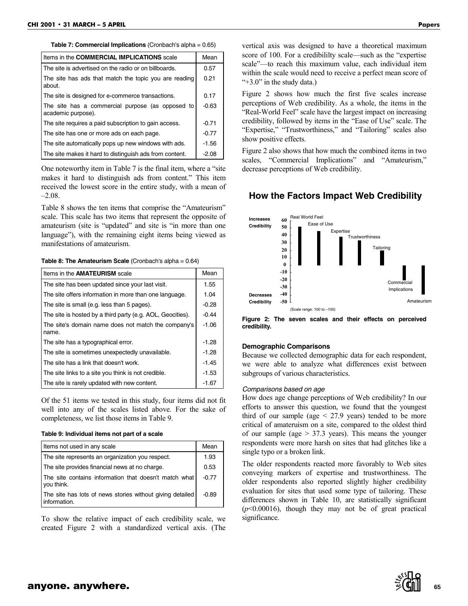| Items in the COMMERCIAL IMPLICATIONS scale                             | Mean    |  |
|------------------------------------------------------------------------|---------|--|
| The site is advertised on the radio or on billboards.                  | 0.57    |  |
| The site has ads that match the topic you are reading<br>about.        | 0.21    |  |
| The site is designed for e-commerce transactions.                      | 0.17    |  |
| The site has a commercial purpose (as opposed to<br>academic purpose). | $-0.63$ |  |
| The site requires a paid subscription to gain access.                  | $-0.71$ |  |
| The site has one or more ads on each page.                             | $-0.77$ |  |
| The site automatically pops up new windows with ads.                   | $-1.56$ |  |
| The site makes it hard to distinguish ads from content.                |         |  |

One noteworthy item in Table 7 is the final item, where a "site makes it hard to distinguish ads from content." This item received the lowest score in the entire study, with a mean of  $-2.08$ .

Table 8 shows the ten items that comprise the "Amateurism" scale. This scale has two items that represent the opposite of amateurism (site is "updated" and site is "in more than one language"), with the remaining eight items being viewed as manifestations of amateurism.

**Table 8: The Amateurism Scale** (Cronbach's alpha = 0.64)

| Items in the <b>AMATEURISM</b> scale                         | Mean    |
|--------------------------------------------------------------|---------|
| The site has been updated since your last visit.             | 1.55    |
| The site offers information in more than one language.       | 1.04    |
| The site is small (e.g. less than 5 pages).                  | $-0.28$ |
| The site is hosted by a third party (e.g. AOL, Geocities).   | $-0.44$ |
| The site's domain name does not match the company's<br>name. | $-1.06$ |
| The site has a typographical error.                          | $-1.28$ |
| The site is sometimes unexpectedly unavailable.              | $-1.28$ |
| The site has a link that doesn't work.                       | -1.45   |
| The site links to a site you think is not credible.          | $-1.53$ |
| The site is rarely updated with new content.                 | -1.67   |

Of the 51 items we tested in this study, four items did not fit well into any of the scales listed above. For the sake of completeness, we list those items in Table 9.

#### **Table 9: Individual items not part of a scale**

| Items not used in any scale                                               | Mean    |
|---------------------------------------------------------------------------|---------|
| The site represents an organization you respect.                          | 1.93    |
| The site provides financial news at no charge.                            | 0.53    |
| The site contains information that doesn't match what<br>you think.       | $-0.77$ |
| The site has lots of news stories without giving detailed<br>information. | $-0.89$ |

To show the relative impact of each credibility scale, we created Figure 2 with a standardized vertical axis. (The

vertical axis was designed to have a theoretical maximum score of 100. For a credibililty scale—such as the "expertise scale"—to reach this maximum value, each individual item within the scale would need to receive a perfect mean score of "+3.0" in the study data.)

Figure 2 shows how much the first five scales increase perceptions of Web credibility. As a whole, the items in the "Real-World Feel" scale have the largest impact on increasing credibility, followed by items in the "Ease of Use" scale. The "Expertise," "Trustworthiness," and "Tailoring" scales also show positive effects.

Figure 2 also shows that how much the combined items in two scales, "Commercial Implications" and "Amateurism," decrease perceptions of Web credibility.

# **How the Factors Impact Web Credibility**



**Figure 2: The seven scales and their effects on perceived credibility.**

#### **Demographic Comparisons**

Because we collected demographic data for each respondent, we were able to analyze what differences exist between subgroups of various characteristics.

#### *Comparisons based on age*

How does age change perceptions of Web credibility? In our efforts to answer this question, we found that the youngest third of our sample (age  $\leq$  27.9 years) tended to be more critical of amateruism on a site, compared to the oldest third of our sample (age  $> 37.3$  years). This means the younger respondents were more harsh on sites that had glitches like a single typo or a broken link.

The older respondents reacted more favorably to Web sites conveying markers of expertise and trustworthiness. The older respondents also reported slightly higher credibility evaluation for sites that used some type of tailoring. These differences shown in Table 10, are statistically significant (*p*<0.00016), though they may not be of great practical significance.



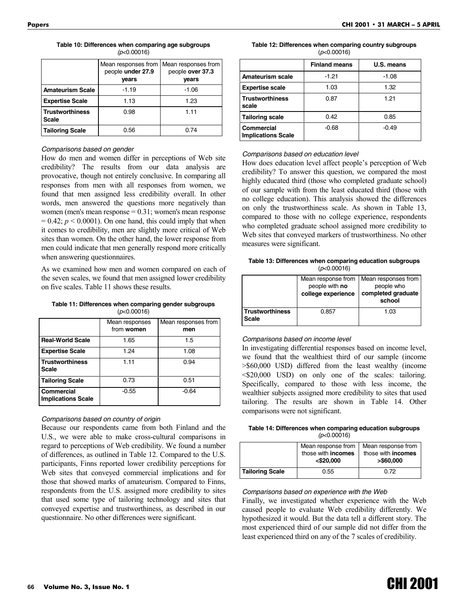| (p<0.00016)                     |                                                   |                                                  |  |  |  |
|---------------------------------|---------------------------------------------------|--------------------------------------------------|--|--|--|
|                                 | Mean responses from<br>people under 27.9<br>vears | Mean responses from<br>people over 37.3<br>vears |  |  |  |
| <b>Amateurism Scale</b>         | $-1.19$                                           | $-1.06$                                          |  |  |  |
| <b>Expertise Scale</b>          | 1.13                                              | 1.23                                             |  |  |  |
| <b>Trustworthiness</b><br>Scale | 0.98                                              | 1.11                                             |  |  |  |

**Tailoring Scale**  $\begin{array}{ccc} \vert & 0.56 & \vert & 0.74 \end{array}$ 

#### **Table 10: Differences when comparing age subgroups**  *(p*<0.00016)

## *Comparisons based on gender*

How do men and women differ in perceptions of Web site credibility? The results from our data analysis are provocative, though not entirely conclusive. In comparing all responses from men with all responses from women, we found that men assigned less credibility overall. In other words, men answered the questions more negatively than women (men's mean response = 0.31; women's mean response  $= 0.42$ ;  $p \le 0.0001$ ). On one hand, this could imply that when it comes to credibility, men are slightly more critical of Web sites than women. On the other hand, the lower response from men could indicate that men generally respond more critically when answering questionnaires.

As we examined how men and women compared on each of the seven scales, we found that men assigned lower credibility on five scales. Table 11 shows these results.

| Table 11: Differences when comparing gender subgroups |             |  |
|-------------------------------------------------------|-------------|--|
|                                                       | (p<0.00016) |  |

|                                                | Mean responses<br>from women | Mean responses from<br>men |
|------------------------------------------------|------------------------------|----------------------------|
| <b>Real-World Scale</b>                        | 1.65                         | 1.5                        |
| <b>Expertise Scale</b>                         | 1.24                         | 1.08                       |
| <b>Trustworthiness</b><br><b>Scale</b>         | 1.11                         | 0.94                       |
| <b>Tailoring Scale</b>                         | 0.73                         | 0.51                       |
| <b>Commercial</b><br><b>Implications Scale</b> | $-0.55$                      | $-0.64$                    |

## *Comparisons based on country of origin*

Because our respondents came from both Finland and the U.S., we were able to make cross-cultural comparisons in regard to perceptions of Web credibility. We found a number of differences, as outlined in Table 12. Compared to the U.S. participants, Finns reported lower credibility perceptions for Web sites that conveyed commercial implications and for those that showed marks of amateurism. Compared to Finns, respondents from the U.S. assigned more credibility to sites that used some type of tailoring technology and sites that conveyed expertise and trustworthiness, as described in our questionnaire. No other differences were significant.

**Table 12: Differences when comparing country subgroups**  (*p*<0.00016)

|                                                | <b>Finland means</b> | U.S. means |
|------------------------------------------------|----------------------|------------|
| <b>Amateurism scale</b>                        | $-1.21$              | $-1.08$    |
| <b>Expertise scale</b>                         | 1.03                 | 1.32       |
| <b>Trustworthiness</b><br>scale                | 0.87                 | 1.21       |
| <b>Tailoring scale</b>                         | 0.42                 | 0.85       |
| <b>Commercial</b><br><b>Implications Scale</b> | $-0.68$              | $-0.49$    |

## *Comparisons based on education level*

How does education level affect people's perception of Web credibility? To answer this question, we compared the most highly educated third (those who completed graduate school) of our sample with from the least educated third (those with no college education). This analysis showed the differences on only the trustworthiness scale. As shown in Table 13, compared to those with no college experience, respondents who completed graduate school assigned more credibility to Web sites that conveyed markers of trustworthiness. No other measures were significant.

#### **Table 13: Differences when comparing education subgroups**  (*p*<0.00016)

|                                        | people with no<br>college experience | Mean response from   Mean responses from  <br>people who<br>completed graduate<br>school |
|----------------------------------------|--------------------------------------|------------------------------------------------------------------------------------------|
| <b>Trustworthiness</b><br><b>Scale</b> | 0.857                                | 1.03                                                                                     |

# *Comparisons based on income level*

In investigating differential responses based on income level, we found that the wealthiest third of our sample (income >\$60,000 USD) differed from the least wealthy (income <\$20,000 USD) on only one of the scales: tailoring. Specifically, compared to those with less income, the wealthier subjects assigned more credibility to sites that used tailoring. The results are shown in Table 14. Other comparisons were not significant.

#### **Table 14: Differences when comparing education subgroups**  *(p*<0.00016)

|                        | Mean response from<br>those with <b>incomes</b><br>$<$ \$20.000 | Mean response from<br>those with <b>incomes</b><br>> \$60,000 |
|------------------------|-----------------------------------------------------------------|---------------------------------------------------------------|
| <b>Tailoring Scale</b> | 0.55                                                            | 0.72                                                          |

## *Comparisons based on experience with the Web*

Finally, we investigated whether experience with the Web caused people to evaluate Web credibility differently. We hypothesized it would. But the data tell a different story. The most experienced third of our sample did not differ from the least experienced third on any of the 7 scales of credibility.

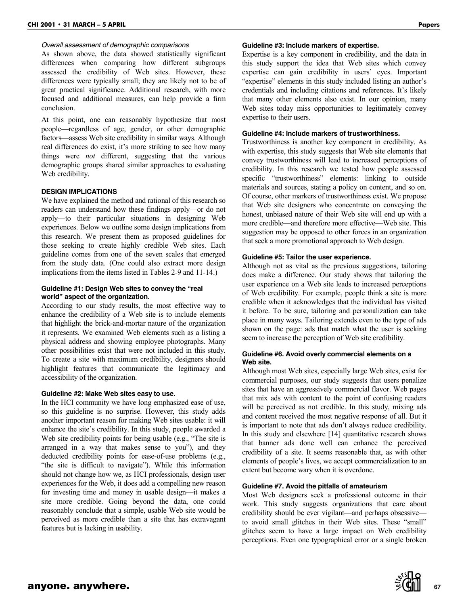#### *Overall assessment of demographic comparisons*

As shown above, the data showed statistically significant differences when comparing how different subgroups assessed the credibility of Web sites. However, these differences were typically small; they are likely not to be of great practical significance. Additional research, with more focused and additional measures, can help provide a firm conclusion.

At this point, one can reasonably hypothesize that most people—regardless of age, gender, or other demographic factors—assess Web site credibility in similar ways. Although real differences do exist, it's more striking to see how many things were *not* different, suggesting that the various demographic groups shared similar approaches to evaluating Web credibility.

## **DESIGN IMPLICATIONS**

We have explained the method and rational of this research so readers can understand how these findings apply—or do not apply—to their particular situations in designing Web experiences. Below we outline some design implications from this research. We present them as proposed guidelines for those seeking to create highly credible Web sites. Each guideline comes from one of the seven scales that emerged from the study data. (One could also extract more design implications from the items listed in Tables 2-9 and 11-14.)

## **Guideline #1: Design Web sites to convey the "real world" aspect of the organization.**

According to our study results, the most effective way to enhance the credibility of a Web site is to include elements that highlight the brick-and-mortar nature of the organization it represents. We examined Web elements such as a listing a physical address and showing employee photographs. Many other possibilities exist that were not included in this study. To create a site with maximum credibility, designers should highlight features that communicate the legitimacy and accessibility of the organization.

#### **Guideline #2: Make Web sites easy to use.**

In the HCI community we have long emphasized ease of use, so this guideline is no surprise. However, this study adds another important reason for making Web sites usable: it will enhance the site's credibility. In this study, people awarded a Web site credibility points for being usable (e.g., "The site is arranged in a way that makes sense to you"), and they deducted credibility points for ease-of-use problems (e.g., "the site is difficult to navigate"). While this information should not change how we, as HCI professionals, design user experiences for the Web, it does add a compelling new reason for investing time and money in usable design—it makes a site more credible. Going beyond the data, one could reasonably conclude that a simple, usable Web site would be perceived as more credible than a site that has extravagant features but is lacking in usability.

#### **Guideline #3: Include markers of expertise.**

Expertise is a key component in credibility, and the data in this study support the idea that Web sites which convey expertise can gain credibility in users' eyes. Important "expertise" elements in this study included listing an author's credentials and including citations and references. It's likely that many other elements also exist. In our opinion, many Web sites today miss opportunities to legitimately convey expertise to their users.

## **Guideline #4: Include markers of trustworthiness.**

Trustworthiness is another key component in credibility. As with expertise, this study suggests that Web site elements that convey trustworthiness will lead to increased perceptions of credibility. In this research we tested how people assessed specific "trustworthiness" elements: linking to outside materials and sources, stating a policy on content, and so on. Of course, other markers of trustworthiness exist. We propose that Web site designers who concentrate on conveying the honest, unbiased nature of their Web site will end up with a more credible—and therefore more effective—Web site. This suggestion may be opposed to other forces in an organization that seek a more promotional approach to Web design.

## **Guideline #5: Tailor the user experience.**

Although not as vital as the previous suggestions, tailoring does make a difference. Our study shows that tailoring the user experience on a Web site leads to increased perceptions of Web credibility. For example, people think a site is more credible when it acknowledges that the individual has visited it before. To be sure, tailoring and personalization can take place in many ways. Tailoring extends even to the type of ads shown on the page: ads that match what the user is seeking seem to increase the perception of Web site credibility.

## **Guideline #6. Avoid overly commercial elements on a Web site.**

Although most Web sites, especially large Web sites, exist for commercial purposes, our study suggests that users penalize sites that have an aggressively commercial flavor. Web pages that mix ads with content to the point of confusing readers will be perceived as not credible. In this study, mixing ads and content received the most negative response of all. But it is important to note that ads don't always reduce credibility. In this study and elsewhere [14] quantitative research shows that banner ads done well can enhance the perceived credibility of a site. It seems reasonable that, as with other elements of people's lives, we accept commercialization to an extent but become wary when it is overdone.

## **Guideline #7. Avoid the pitfalls of amateurism**

Most Web designers seek a professional outcome in their work. This study suggests organizations that care about credibility should be ever vigilant—and perhaps obsessive to avoid small glitches in their Web sites. These "small" glitches seem to have a large impact on Web credibility perceptions. Even one typographical error or a single broken